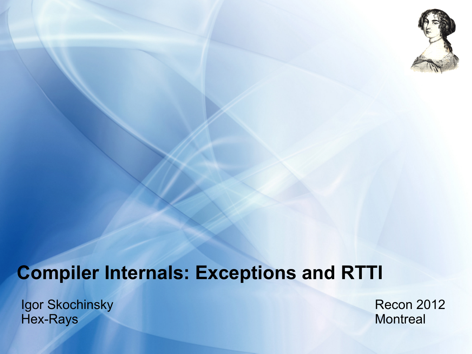

# **Compiler Internals: Exceptions and RTTI**

Igor Skochinsky Hex-Rays

Recon 2012 **Montreal**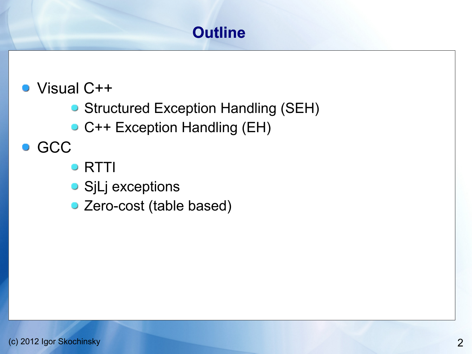# **Outline**

- Visual C++
	- **Structured Exception Handling (SEH)**
	- C++ Exception Handling (EH)
- **GCC** 
	- **RTTI**
	- **SjLj exceptions**
	- Zero-cost (table based)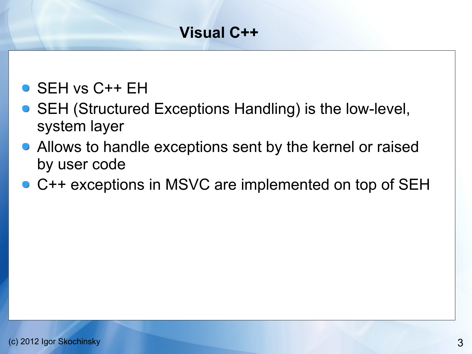- SEH vs C++ EH
- SEH (Structured Exceptions Handling) is the low-level, system layer
- Allows to handle exceptions sent by the kernel or raised by user code
- C++ exceptions in MSVC are implemented on top of SEH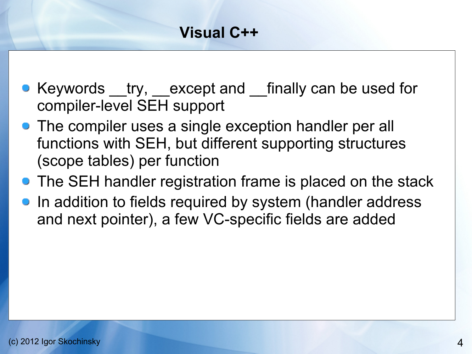- Keywords try, except and finally can be used for compiler-level SEH support
- The compiler uses a single exception handler per all functions with SEH, but different supporting structures (scope tables) per function
- The SEH handler registration frame is placed on the stack
- **•** In addition to fields required by system (handler address and next pointer), a few VC-specific fields are added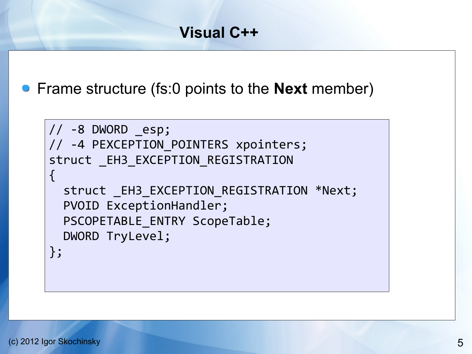Frame structure (fs:0 points to the **Next** member)

```
// -8 DWORD _esp;
// -4 PEXCEPTION POINTERS xpointers;
struct EH3 EXCEPTION REGISTRATION
\{ struct _EH3_EXCEPTION_REGISTRATION *Next;
   PVOID ExceptionHandler;
  PSCOPETABLE ENTRY ScopeTable;
   DWORD TryLevel;
};
```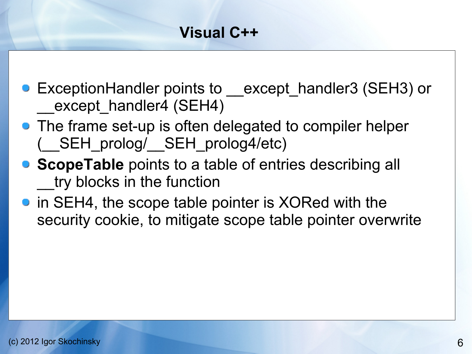- ExceptionHandler points to except handler3 (SEH3) or except handler4 (SEH4)
- The frame set-up is often delegated to compiler helper (\_\_SEH\_prolog/\_\_SEH\_prolog4/etc)
- **ScopeTable** points to a table of entries describing all try blocks in the function
- in SEH4, the scope table pointer is XORed with the security cookie, to mitigate scope table pointer overwrite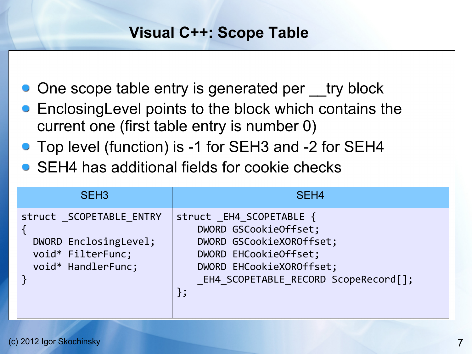#### **Visual C++: Scope Table**

- One scope table entry is generated per try block
- EnclosingLevel points to the block which contains the current one (first table entry is number 0)
- Top level (function) is -1 for SEH3 and -2 for SEH4
- SEH4 has additional fields for cookie checks

| SEH <sub>3</sub>                                                                            | SEH <sub>4</sub>                                                                                                                                                          |
|---------------------------------------------------------------------------------------------|---------------------------------------------------------------------------------------------------------------------------------------------------------------------------|
| struct SCOPETABLE ENTRY<br>DWORD EnclosingLevel;<br>void* FilterFunc;<br>void* HandlerFunc; | struct EH4 SCOPETABLE {<br>DWORD GSCookieOffset;<br>DWORD GSCookieXOROffset;<br>DWORD EHCookieOffset;<br>DWORD EHCookieXOROffset;<br>EH4 SCOPETABLE RECORD ScopeRecord[]; |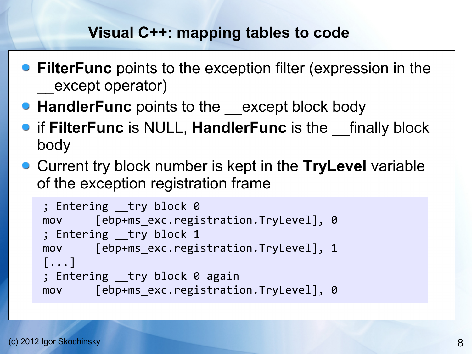## **Visual C++: mapping tables to code**

- **FilterFunc** points to the exception filter (expression in the except operator)
- **HandlerFunc** points to the except block body
- **•** if FilterFunc is NULL, HandlerFunc is the finally block body
- Current try block number is kept in the **TryLevel** variable of the exception registration frame

```
; Entering try block 0
mov [ebp+ms_exc.registration.TryLevel], 0
; Entering __try block 1
mov [ebp+ms_exc.registration.TryLevel], 1
[...]
; Entering try block 0 again
mov [ebp+ms exc.registration.TryLevel], 0
```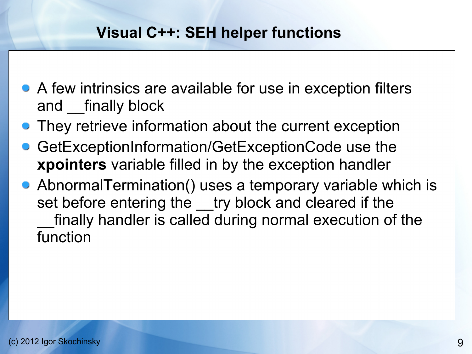#### **Visual C++: SEH helper functions**

- A few intrinsics are available for use in exception filters and finally block
- They retrieve information about the current exception
- GetExceptionInformation/GetExceptionCode use the **xpointers** variable filled in by the exception handler
- AbnormalTermination() uses a temporary variable which is set before entering the try block and cleared if the finally handler is called during normal execution of the function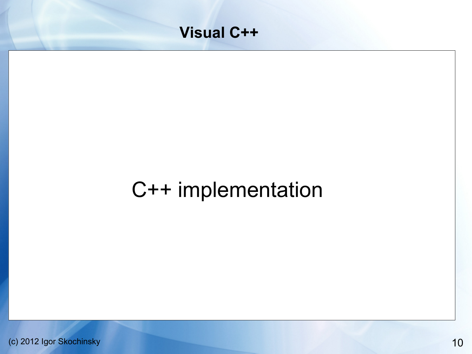

# C++ implementation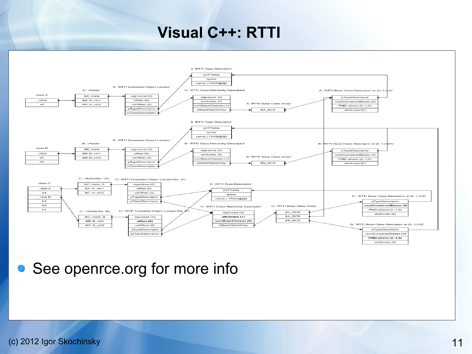#### **Visual C++: RTTI**



• See openrce.org for more info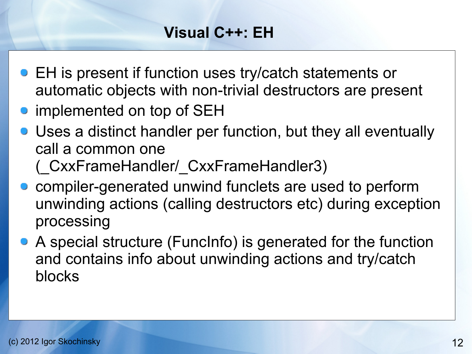# **Visual C++: EH**

- EH is present if function uses try/catch statements or automatic objects with non-trivial destructors are present
- implemented on top of SEH
- Uses a distinct handler per function, but they all eventually call a common one
	- (\_CxxFrameHandler/\_CxxFrameHandler3)
- compiler-generated unwind funclets are used to perform unwinding actions (calling destructors etc) during exception processing
- A special structure (FuncInfo) is generated for the function and contains info about unwinding actions and try/catch blocks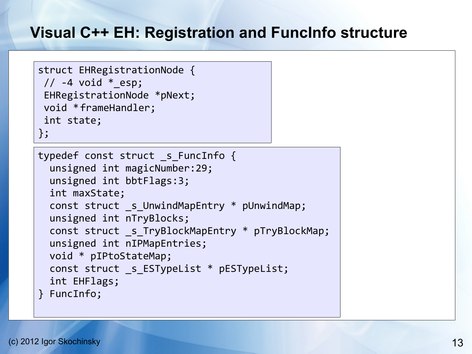# **Visual C++ EH: Registration and FuncInfo structure**

```
typedef const struct s FuncInfo {
   unsigned int magicNumber:29;
   unsigned int bbtFlags:3;
   int maxState;
   const struct _s_UnwindMapEntry * pUnwindMap;
   unsigned int nTryBlocks;
   const struct _s_TryBlockMapEntry * pTryBlockMap;
   unsigned int nIPMapEntries;
  void * pIPtoStateMap;
   const struct _s_ESTypeList * pESTypeList;
   int EHFlags;
} FuncInfo;
struct EHRegistrationNode {
 // -4 void * esp;EHRegistrationNode *pNext;
void *frameHandler;
 int state;
};
```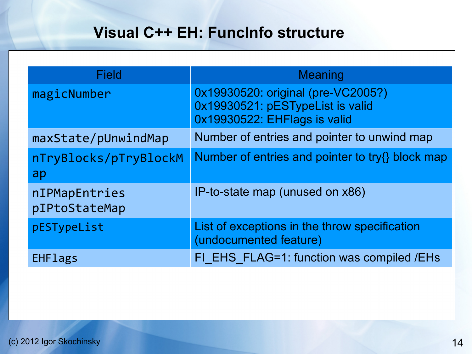# **Visual C++ EH: FuncInfo structure**

| <b>Field</b>                   | <b>Meaning</b>                                                                                         |
|--------------------------------|--------------------------------------------------------------------------------------------------------|
| magicNumber                    | 0x19930520: original (pre-VC2005?)<br>0x19930521: pESTypeList is valid<br>0x19930522: EHFlags is valid |
| maxState/pUnwindMap            | Number of entries and pointer to unwind map                                                            |
| nTryBlocks/pTryBlockM<br>ap    | Number of entries and pointer to try{} block map                                                       |
| nIPMapEntries<br>pIPtoStateMap | IP-to-state map (unused on x86)                                                                        |
| pESTypeList                    | List of exceptions in the throw specification<br>(undocumented feature)                                |
| <b>EHFlags</b>                 | FI EHS FLAG=1: function was compiled /EHs                                                              |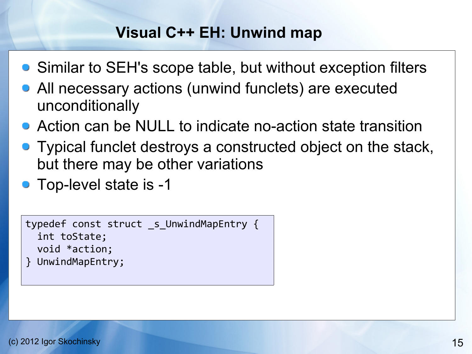### **Visual C++ EH: Unwind map**

- Similar to SEH's scope table, but without exception filters
- All necessary actions (unwind funclets) are executed unconditionally
- Action can be NULL to indicate no-action state transition
- Typical funclet destroys a constructed object on the stack, but there may be other variations
- Top-level state is -1

```
typedef const struct _s_UnwindMapEntry {
   int toState;
   void *action;
} UnwindMapEntry;
```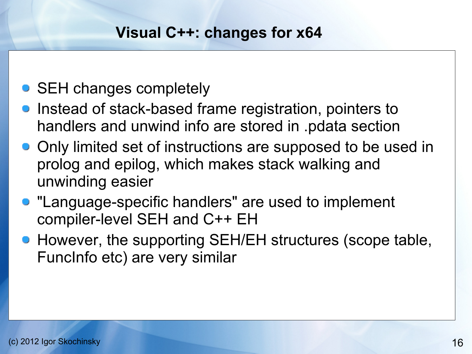### **Visual C++: changes for x64**

# • SEH changes completely

- Instead of stack-based frame registration, pointers to handlers and unwind info are stored in .pdata section
- Only limited set of instructions are supposed to be used in prolog and epilog, which makes stack walking and unwinding easier
- **"Language-specific handlers" are used to implement** compiler-level SEH and C++ EH
- However, the supporting SEH/EH structures (scope table, FuncInfo etc) are very similar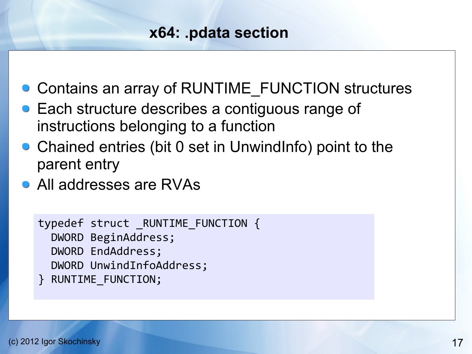## **x64: .pdata section**

- Contains an array of RUNTIME\_FUNCTION structures
- **Each structure describes a contiguous range of** instructions belonging to a function
- Chained entries (bit 0 set in UnwindInfo) point to the parent entry
- All addresses are RVAs

```
typedef struct _RUNTIME_FUNCTION {
   DWORD BeginAddress;
   DWORD EndAddress;
   DWORD UnwindInfoAddress;
} RUNTIME_FUNCTION;
```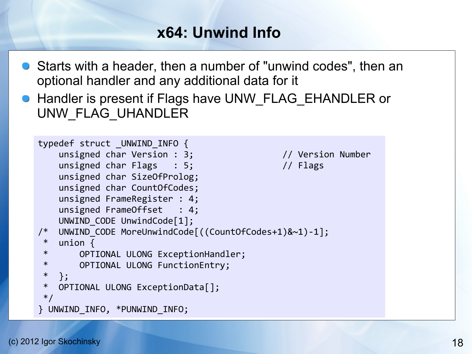# **x64: Unwind Info**

- Starts with a header, then a number of "unwind codes", then an optional handler and any additional data for it
- **Handler is present if Flags have UNW\_FLAG\_EHANDLER or** UNW\_FLAG\_UHANDLER

```
typedef struct _UNWIND_INFO {
   unsigned char Version : 3; // Version Number
   unsigned char Flags : 5; // Flags
    unsigned char SizeOfProlog;
    unsigned char CountOfCodes;
    unsigned FrameRegister : 4;
    unsigned FrameOffset : 4;
   UNWIND CODE UnwindCode[1];
/* UNWIND_CODE MoreUnwindCode[((CountOfCodes+1)&~1)-1];
* union {
 * OPTIONAL ULONG ExceptionHandler;
 * OPTIONAL ULONG FunctionEntry;
 * };
 * OPTIONAL ULONG ExceptionData[];
 */
} UNWIND_INFO, *PUNWIND_INFO;
```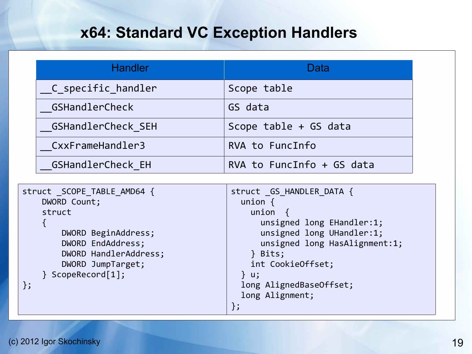## **x64: Standard VC Exception Handlers**

| <b>Handler</b>            | Data                      |
|---------------------------|---------------------------|
| __C_specific_handler      | Scope table               |
| GSHandlerCheck            | GS data                   |
| <b>GSHandlerCheck SEH</b> | Scope table + GS data     |
| CxxFrameHandler3          | RVA to FuncInfo           |
| <b>GSHandlerCheck EH</b>  | RVA to FuncInfo + GS data |

```
struct SCOPE TABLE AMD64 {
     DWORD Count;
     struct
    \{ DWORD BeginAddress;
         DWORD EndAddress;
         DWORD HandlerAddress;
         DWORD JumpTarget;
     } ScopeRecord[1];
};
                                              struct GS HANDLER DATA {
                                                 union {
                                                   union {
                                                     unsigned long EHandler:1;
                                                     unsigned long UHandler:1;
                                                     unsigned long HasAlignment:1;
                                                   } Bits;
                                                   int CookieOffset;
                                                 } u;
                                                 long AlignedBaseOffset;
                                                 long Alignment;
                                              };
```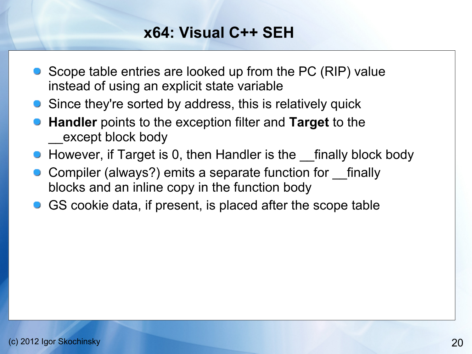## **x64: Visual C++ SEH**

- Scope table entries are looked up from the PC (RIP) value instead of using an explicit state variable
- **•** Since they're sorted by address, this is relatively quick
- **Handler** points to the exception filter and **Target** to the except block body
- However, if Target is 0, then Handler is the finally block body
- Compiler (always?) emits a separate function for \_\_finally blocks and an inline copy in the function body
- **GUA** GS cookie data, if present, is placed after the scope table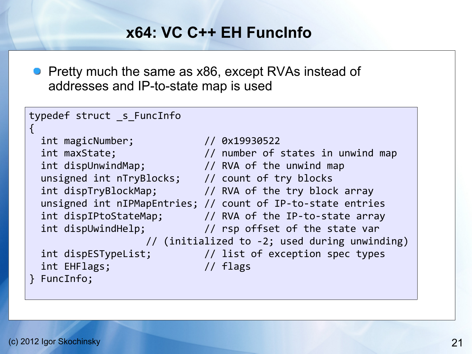#### **x64: VC C++ EH FuncInfo**

**Pretty much the same as x86, except RVAs instead of** addresses and IP-to-state map is used

typedef struct \_s\_FuncInfo

```
 int magicNumber; // 0x19930522
unsigned int nTryBlocks; // count of try blocks
```
 int EHFlags; // flags } FuncInfo;

```
int maxState; \frac{1}{2} number of states in unwind map
int dispUnwindMap; \frac{1}{10} // RVA of the unwind map
int dispTryBlockMap; \frac{1}{10} // RVA of the try block array
 unsigned int nIPMapEntries; // count of IP-to-state entries
 int dispIPtoStateMap; // RVA of the IP-to-state array
 int dispUwindHelp; // rsp offset of the state var
                  // (initialized to -2; used during unwinding)
 int dispESTypeList; // list of exception spec types
```
{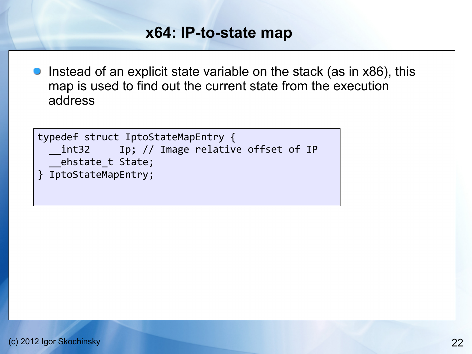#### **x64: IP-to-state map**

**Instead of an explicit state variable on the stack (as in**  $x86$ **), this** map is used to find out the current state from the execution address

```
typedef struct IptoStateMapEntry {
     __int32 Ip; // Image relative offset of IP
     __ehstate_t State;
} IptoStateMapEntry;
```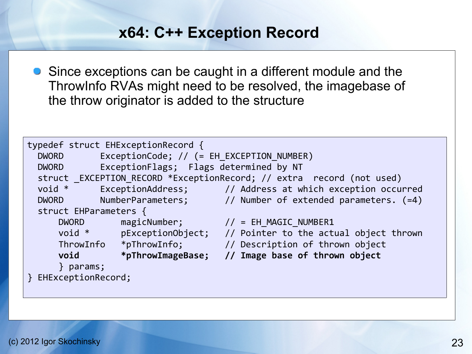# **x64: C++ Exception Record**

**•** Since exceptions can be caught in a different module and the ThrowInfo RVAs might need to be resolved, the imagebase of the throw originator is added to the structure

```
typedef struct EHExceptionRecord {
  DWORD ExceptionCode; // (= EH EXCEPTION NUMBER)
   DWORD ExceptionFlags; Flags determined by NT
  struct _EXCEPTION_RECORD *ExceptionRecord; // extra record (not used)<br>void * ExceptionAddress; // Address at which exception occu
              ExceptionAddress; \frac{1}{4} Address at which exception occurred
  DWORD NumberParameters; // Number of extended parameters. (=4)
   struct EHParameters {
      DWORD magicNumber; \frac{1}{2} // = EH_MAGIC_NUMBER1
       void * pExceptionObject; // Pointer to the actual object thrown
 ThrowInfo *pThrowInfo; // Description of thrown object
 void *pThrowImageBase; // Image base of thrown object
       } params;
} EHExceptionRecord;
```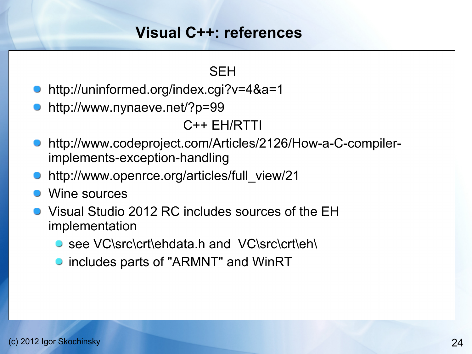#### **Visual C++: references**

#### **SFH**

- http://uninformed.org/index.cgi?v=4&a=1
- http://www.nynaeve.net/?p=99

#### C++ EH/RTTI

- http://www.codeproject.com/Articles/2126/How-a-C-compilerimplements-exception-handling
- http://www.openrce.org/articles/full\_view/21
- Wine sources
- Visual Studio 2012 RC includes sources of the EH implementation
	- see VC\src\crt\ehdata.h and VC\src\crt\eh\
	- **•** includes parts of "ARMNT" and WinRT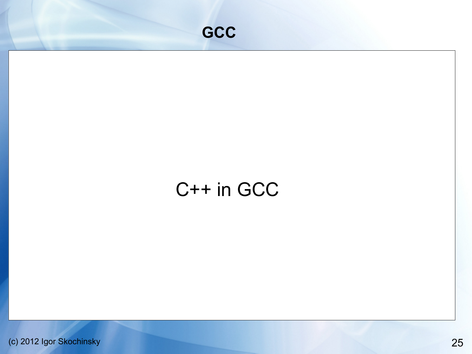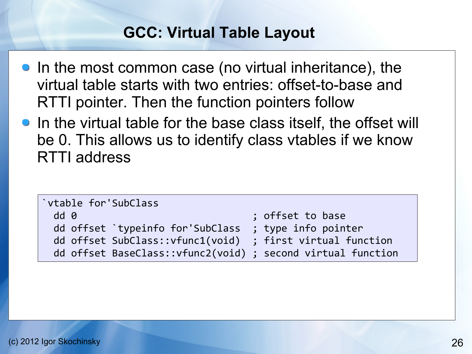# **GCC: Virtual Table Layout**

- In the most common case (no virtual inheritance), the virtual table starts with two entries: offset-to-base and RTTI pointer. Then the function pointers follow
- In the virtual table for the base class itself, the offset will be 0. This allows us to identify class vtables if we know RTTI address

| `vtable for'SubClass                                         |                     |
|--------------------------------------------------------------|---------------------|
| dd <sub>0</sub>                                              | ; offset to base    |
| dd offset `typeinfo for'SubClass                             | ; type info pointer |
| dd offset SubClass:: vfunc1(void) ; first virtual function   |                     |
| dd offset BaseClass:: vfunc2(void) ; second virtual function |                     |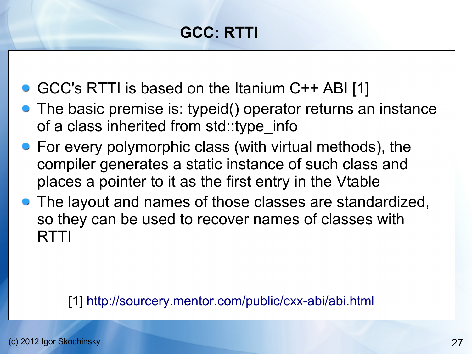# **GCC: RTTI**

- GCC's RTTI is based on the Itanium C++ ABI [1]
- The basic premise is: typeid() operator returns an instance of a class inherited from std::type info
- **For every polymorphic class (with virtual methods), the** compiler generates a static instance of such class and places a pointer to it as the first entry in the Vtable
- The layout and names of those classes are standardized, so they can be used to recover names of classes with **RTTI**

#### [1] <http://sourcery.mentor.com/public/cxx-abi/abi.html>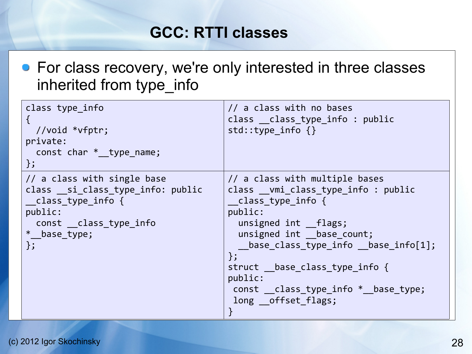# **GCC: RTTI classes**

**•** For class recovery, we're only interested in three classes inherited from type\_info

| class type info<br>//void *vfptr;<br>private:<br>const char $*$ type name;<br>};                                      | // a class with no bases<br>class __class_type_info : public<br>std::type_info {}                                                                                                                                                                                                                                             |
|-----------------------------------------------------------------------------------------------------------------------|-------------------------------------------------------------------------------------------------------------------------------------------------------------------------------------------------------------------------------------------------------------------------------------------------------------------------------|
| // a class with single base<br>___class_type_info {<br>public:<br>const __class_type_info<br>$*$ base type;<br>$\}$ ; | // a class with multiple bases<br>class vmi class type info: public<br>class type info {<br>public:<br>unsigned int flags;<br>unsigned int base count;<br>$\_base\_class\_type\_info\_base\_info[1];$<br>};<br>struct __base_class_type_info {<br>public:<br>const __class_type_info *__base_type;<br>long offset flags;<br>} |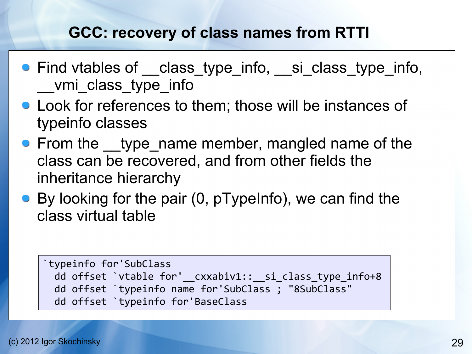# **GCC: recovery of class names from RTTI**

- Find vtables of <u>class</u> type info, si class type info, vmi class type info
- **Look for references to them; those will be instances of** typeinfo classes
- From the type name member, mangled name of the class can be recovered, and from other fields the inheritance hierarchy
- By looking for the pair (0, pTypeInfo), we can find the class virtual table

```
`typeinfo for'SubClass
  dd offset `vtable for'__cxxabiv1::__si_class_type_info+8
  dd offset `typeinfo name for'SubClass ; "8SubClass"
  dd offset `typeinfo for'BaseClass
```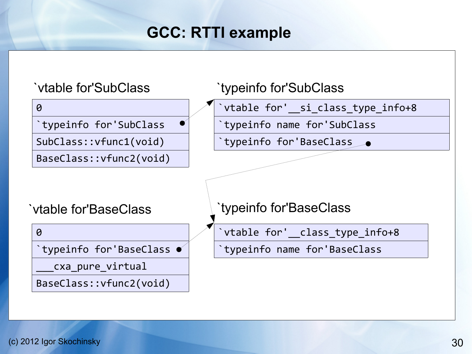# **GCC: RTTI example**

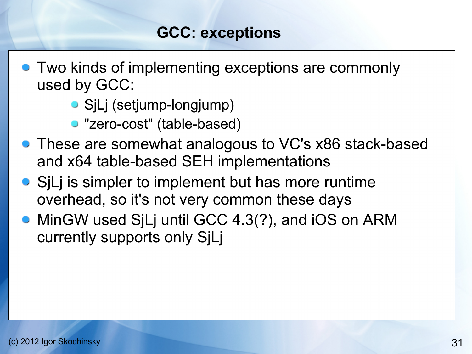# **GCC: exceptions**

- **Two kinds of implementing exceptions are commonly** used by GCC:
	- **•** SjLj (setjump-longjump)
	- "zero-cost" (table-based)
- **These are somewhat analogous to VC's x86 stack-based** and x64 table-based SEH implementations
- SiLi is simpler to implement but has more runtime overhead, so it's not very common these days
- **MinGW used SjLj until GCC 4.3(?), and iOS on ARM** currently supports only SjLj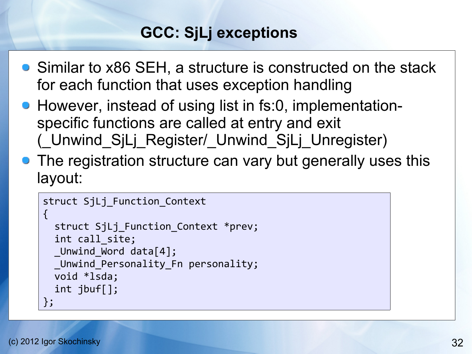# **GCC: SjLj exceptions**

- Similar to x86 SEH, a structure is constructed on the stack for each function that uses exception handling
- However, instead of using list in fs:0, implementationspecific functions are called at entry and exit (\_Unwind\_SjLj\_Register/\_Unwind\_SjLj\_Unregister)
- The registration structure can vary but generally uses this layout:

```
struct SjLj Function Context
\{ struct SjLj_Function_Context *prev;
   int call_site;
  Unwind Word data[4];
  Unwind Personality Fn personality;
   void *lsda;
   int jbuf[];
};
```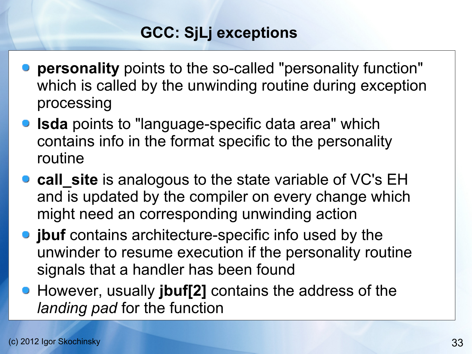# **GCC: SjLj exceptions**

- **personality** points to the so-called "personality function" which is called by the unwinding routine during exception processing
- **Isda** points to "language-specific data area" which contains info in the format specific to the personality routine
- **call\_site** is analogous to the state variable of VC's EH and is updated by the compiler on every change which might need an corresponding unwinding action
- **jbuf** contains architecture-specific info used by the unwinder to resume execution if the personality routine signals that a handler has been found
- However, usually **jbuf[2]** contains the address of the *landing pad* for the function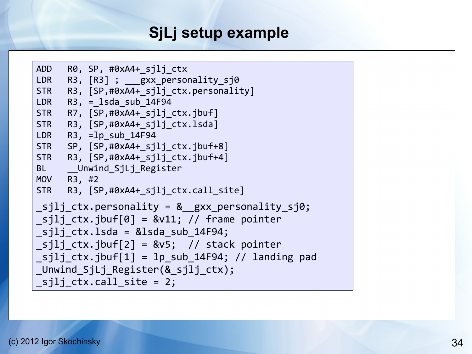# **SjLj setup example**

```
ADD R0, SP, #0xA4+ sili ctx
LDR R3, [R3] ; ___gxx_personality_sj0
STR R3, [SP,#0xA4+ sjlj ctx.personality]
LDR R3, = 1sda sub 14F94
STR R7, [SP,#0xA4+ sjlj ctx.jbuf]
STR R3, [SP,#0xA4+ sjlj ctx.lsda]
LDR R3, =lp sub 14F94
STR SP, [SP,#0xA4+ sjlj ctx.jbuf+8]
STR R3, [SP,#0xA4+ sjlj ctx.jbuf+4]
BL Unwind SjLj Register
MOV R3, #2
STR R3, [SP,#0xA4+ sjlj ctx.call site]
\text{Sjlj\_ctx.personality} = \text{&}\text{gxx_personality_sj0};sjli ctx.jbuf[0] = &v11; // frame pointer
sjlj ctx.lsda = &lsda sub 14F94;
\text{Sjlj\_ctx.jbuf[2]} = \&vs; // stack pointer
sjlj ctx.jbuf[1] = lp sub 14F94; // landing pad
_Unwind_SjLj_Register(&_sjlj_ctx);
sjlj ctx.call site = 2;
```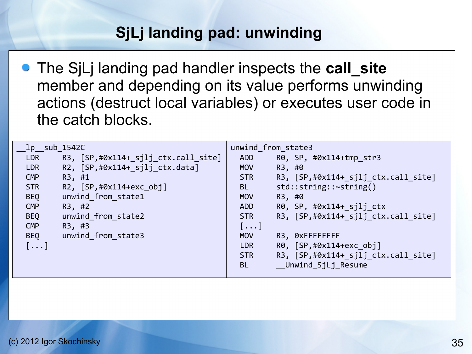# **SjLj landing pad: unwinding**

The SjLj landing pad handler inspects the **call\_site** member and depending on its value performs unwinding actions (destruct local variables) or executes user code in the catch blocks.

| $1p$ sub 1542C |                                     |            | unwind from state3                    |
|----------------|-------------------------------------|------------|---------------------------------------|
| <b>LDR</b>     | R3, [SP,#0x114+_sjlj_ctx.call_site] | <b>ADD</b> | R0, SP, #0x114+tmp str3               |
| <b>LDR</b>     | R2, [SP,#0x114+_sjlj_ctx.data]      | <b>MOV</b> | R3, #0                                |
| <b>CMP</b>     | R3, #1                              | <b>STR</b> | $R3,$ [SP,#0x114+_sjlj_ctx.call_site] |
| <b>STR</b>     | R2, [SP,#0x114+exc_obj]             | <b>BL</b>  | $std::string::\sim string()$          |
| <b>BEQ</b>     | unwind from state1                  | <b>MOV</b> | R3, #0                                |
| <b>CMP</b>     | R3, #2                              | <b>ADD</b> | $R\theta$ , SP, #0x114+ sjlj ctx      |
| <b>BEQ</b>     | unwind from state2                  | <b>STR</b> | R3, [SP,#0x114+_sjlj_ctx.call_site]   |
| <b>CMP</b>     | R3, #3                              | $[\ldots]$ |                                       |
| <b>BEQ</b>     | unwind from state3                  | <b>MOV</b> | R3, ØxFFFFFFFF                        |
| $[\ldots]$     |                                     | <b>LDR</b> | R0, [SP,#0x114+exc obj]               |
|                |                                     | <b>STR</b> | R3, [SP,#0x114+_sjlj_ctx.call_site]   |
|                |                                     | <b>BL</b>  | Unwind SjLj_Resume                    |
|                |                                     |            |                                       |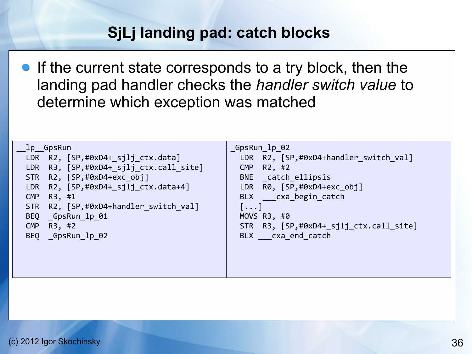# **SjLj landing pad: catch blocks**

**If the current state corresponds to a try block, then the** landing pad handler checks the *handler switch value* to determine which exception was matched

| lp GpsRun                                 | GpsRun_lp_02                           |
|-------------------------------------------|----------------------------------------|
| LDR R2, [SP,#0xD4+_sjlj_ctx.data]         | LDR R2, [SP,#0xD4+handler switch val]  |
| LDR R3, [SP,#0xD4+_sjlj_ctx.call_site]    | <b>CMP</b><br>R2, #2                   |
| STR R2, [SP,#0xD4+exc obj]                | BNE catch ellipsis                     |
| LDR $R2$ , $[SP, #0xD4+ silj ctx.data+4]$ | LDR R0, [SP,#0xD4+exc_obj]             |
| <b>CMP</b><br>R3, #1                      | BLX cxa begin catch                    |
| STR R2, [SP,#0xD4+handler_switch_val]     | $\lceil \dots \rceil$                  |
| BEQ GpsRun 1p 01                          | MOVS $R3, #0$                          |
| <b>CMP</b><br>R3, #2                      | STR R3, [SP,#0xD4+_sjlj_ctx.call_site] |
| BEQ GpsRun 1p 02                          | BLX cxa end catch                      |
|                                           |                                        |
|                                           |                                        |
|                                           |                                        |
|                                           |                                        |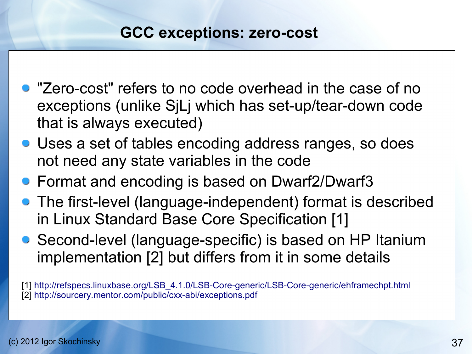#### **GCC exceptions: zero-cost**

- "Zero-cost" refers to no code overhead in the case of no exceptions (unlike SjLj which has set-up/tear-down code that is always executed)
- Uses a set of tables encoding address ranges, so does not need any state variables in the code
- Format and encoding is based on Dwarf2/Dwarf3
- The first-level (language-independent) format is described in Linux Standard Base Core Specification [1]
- Second-level (language-specific) is based on HP Itanium implementation [2] but differs from it in some details

[1] [http://refspecs.linuxbase.org/LSB\\_4.1.0/LSB-Core-generic/LSB-Core-generic/ehframechpt.html](http://refspecs.linuxbase.org/LSB_4.1.0/LSB-Core-generic/LSB-Core-generic/ehframechpt.html) [2] <http://sourcery.mentor.com/public/cxx-abi/exceptions.pdf>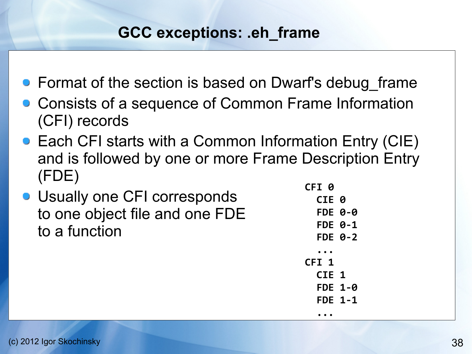# **GCC exceptions: .eh\_frame**

- Format of the section is based on Dwarf's debug frame
- Consists of a sequence of Common Frame Information (CFI) records
- Each CFI starts with a Common Information Entry (CIE) and is followed by one or more Frame Description Entry (FDE)
- **Usually one CFI corresponds** to one object file and one FDE to a function

 **CFI 0 CIE 0 FDE 0-0 FDE 0-1 FDE 0-2 ... CFI 1 CIE 1 FDE 1-0 FDE 1-1 ...**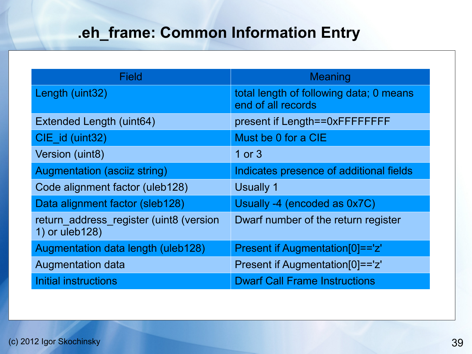# **.eh\_frame: Common Information Entry**

| Field                                                     | <b>Meaning</b>                                                |
|-----------------------------------------------------------|---------------------------------------------------------------|
| Length (uint32)                                           | total length of following data; 0 means<br>end of all records |
| Extended Length (uint64)                                  | present if Length==0xFFFFFFFF                                 |
| CIE_id (uint32)                                           | Must be 0 for a CIE                                           |
| Version (uint8)                                           | 1 or $3$                                                      |
| <b>Augmentation (asciiz string)</b>                       | Indicates presence of additional fields                       |
| Code alignment factor (uleb128)                           | Usually 1                                                     |
| Data alignment factor (sleb128)                           | Usually -4 (encoded as 0x7C)                                  |
| return_address_register (uint8 (version<br>1) or uleb128) | Dwarf number of the return register                           |
| Augmentation data length (uleb128)                        | Present if Augmentation[0]=='z'                               |
| <b>Augmentation data</b>                                  | Present if Augmentation[0]=='z'                               |
| Initial instructions                                      | <b>Dwarf Call Frame Instructions</b>                          |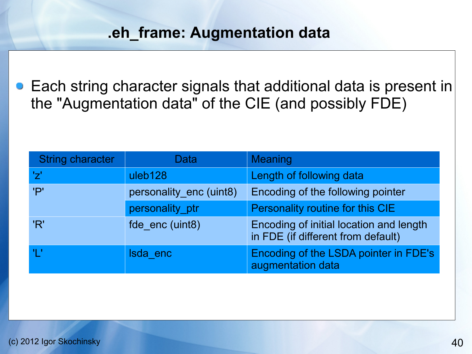### **.eh\_frame: Augmentation data**

Each string character signals that additional data is present in the "Augmentation data" of the CIE (and possibly FDE)

| <b>String character</b> | Data                    | <b>Meaning</b>                                                                |
|-------------------------|-------------------------|-------------------------------------------------------------------------------|
| 'ブ'                     | uleb128                 | Length of following data                                                      |
| 'P'                     | personality_enc (uint8) | Encoding of the following pointer                                             |
|                         | personality_ptr         | Personality routine for this CIE                                              |
| 'R'                     | fde enc (uint8)         | Encoding of initial location and length<br>in FDE (if different from default) |
| -47                     | Isda enc                | <b>Encoding of the LSDA pointer in FDE's</b><br>augmentation data             |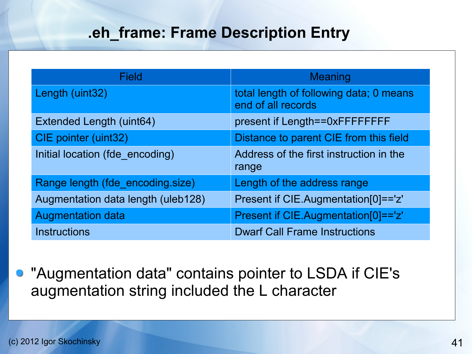## **.eh\_frame: Frame Description Entry**

| Field                              | <b>Meaning</b>                                                |
|------------------------------------|---------------------------------------------------------------|
| Length (uint32)                    | total length of following data; 0 means<br>end of all records |
| Extended Length (uint64)           | present if Length==0xFFFFFFFF                                 |
| CIE pointer (uint32)               | Distance to parent CIE from this field                        |
| Initial location (fde encoding)    | Address of the first instruction in the<br>range              |
| Range length (fde_encoding.size)   | Length of the address range                                   |
| Augmentation data length (uleb128) | Present if CIE.Augmentation[0]=='z'                           |
| <b>Augmentation data</b>           | Present if CIE.Augmentation[0]=='z'                           |
| <b>Instructions</b>                | <b>Dwarf Call Frame Instructions</b>                          |

"Augmentation data" contains pointer to LSDA if CIE's augmentation string included the L character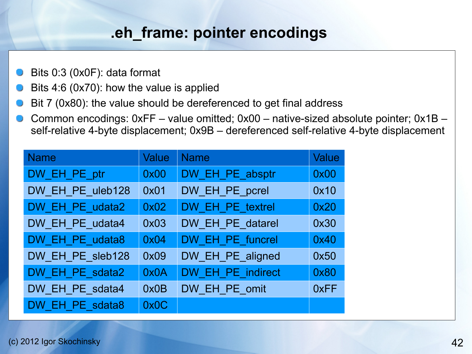# **.eh\_frame: pointer encodings**

- Bits 0:3 (0x0F): data format
- Bits 4:6 (0x70): how the value is applied
- Bit 7 (0x80): the value should be dereferenced to get final address
- Common encodings: 0xFF value omitted; 0x00 native-sized absolute pointer; 0x1B self-relative 4-byte displacement; 0x9B – dereferenced self-relative 4-byte displacement

| <b>Name</b>      | Value | <b>Name</b>       | Value |
|------------------|-------|-------------------|-------|
| DW_EH_PE_ptr     | 0x00  | DW_EH_PE_absptr   | 0x00  |
| DW_EH_PE_uleb128 | 0x01  | DW_EH_PE_pcrel    | 0x10  |
| DW EH PE udata2  | 0x02  | DW EH PE_textrel  | 0x20  |
| DW EH PE udata4  | 0x03  | DW_EH_PE_datarel  | 0x30  |
| DW_EH_PE_udata8  | 0x04  | DW_EH_PE_funcrel  | 0x40  |
| DW_EH_PE_sleb128 | 0x09  | DW_EH_PE_aligned  | 0x50  |
| DW_EH_PE_sdata2  | 0x0A  | DW EH PE_indirect | 0x80  |
| DW EH PE_sdata4  | 0x0B  | DW EH PE_omit     | 0xFF  |
| DW EH PE sdata8  | 0x0C  |                   |       |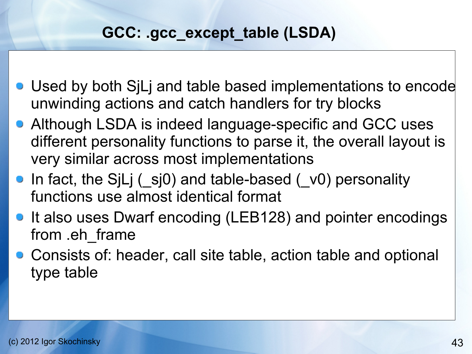# **GCC: .gcc\_except\_table (LSDA)**

- Used by both SjLj and table based implementations to encode unwinding actions and catch handlers for try blocks
- Although LSDA is indeed language-specific and GCC uses different personality functions to parse it, the overall layout is very similar across most implementations
- In fact, the SjLj (sj0) and table-based (v0) personality functions use almost identical format
- It also uses Dwarf encoding (LEB128) and pointer encodings from .eh\_frame
- Consists of: header, call site table, action table and optional type table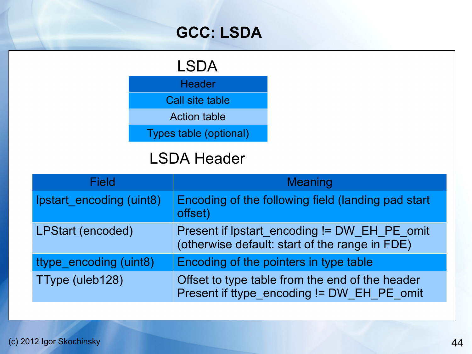# **GCC: LSDA**

# LSDA

**Header** 

Call site table

Action table

Types table (optional)

# LSDA Header

| <b>Field</b>             | <b>Meaning</b>                                                                                 |
|--------------------------|------------------------------------------------------------------------------------------------|
| Ipstart encoding (uint8) | Encoding of the following field (landing pad start<br>offset)                                  |
| <b>LPStart (encoded)</b> | Present if Ipstart encoding != DW EH PE omit<br>(otherwise default: start of the range in FDE) |
| ttype encoding (uint8)   | Encoding of the pointers in type table                                                         |
| TType (uleb128)          | Offset to type table from the end of the header<br>Present if ttype encoding != DW EH PE omit  |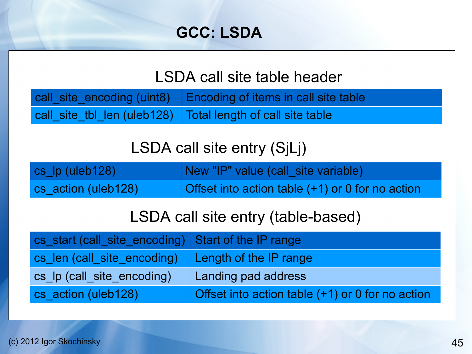# **GCC: LSDA**

# LSDA call site table header

call\_site\_encoding (uint8) Encoding of items in call site table call site tbl len (uleb128) Total length of call site table

# LSDA call site entry (SjLj)

| cs_lp (uleb128)     | New "IP" value (call_site variable)              |
|---------------------|--------------------------------------------------|
| cs action (uleb128) | Offset into action table (+1) or 0 for no action |

# LSDA call site entry (table-based)

| cs start (call site encoding) Start of the IP range |                                                  |
|-----------------------------------------------------|--------------------------------------------------|
| cs len (call site encoding)                         | Length of the IP range                           |
| cs Ip (call site encoding)                          | Landing pad address                              |
| cs action (uleb128)                                 | Offset into action table (+1) or 0 for no action |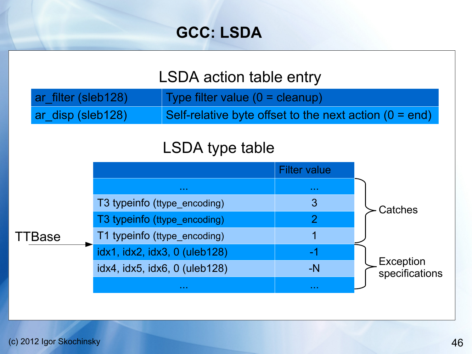# **GCC: LSDA**

# LSDA action table entry

| ar_filter (sleb128) | Type filter value $(0 =$ cleanup)                        |
|---------------------|----------------------------------------------------------|
| ar_disp (sleb128)   | Self-relative byte offset to the next action $(0 = end)$ |

# LSDA type table

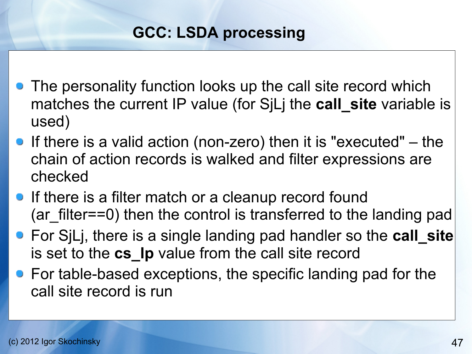# **GCC: LSDA processing**

- **•** The personality function looks up the call site record which matches the current IP value (for S<sub>ILI</sub> the **call site** variable is used)
- If there is a valid action (non-zero) then it is "executed"  $-$  the chain of action records is walked and filter expressions are checked
- **If there is a filter match or a cleanup record found** (ar filter==0) then the control is transferred to the landing pad
- For SjLj, there is a single landing pad handler so the **call\_site**  is set to the cs Ip value from the call site record
- For table-based exceptions, the specific landing pad for the call site record is run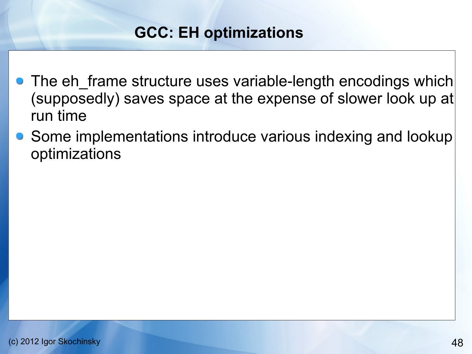# **GCC: EH optimizations**

- The eh frame structure uses variable-length encodings which (supposedly) saves space at the expense of slower look up at run time
- Some implementations introduce various indexing and lookup optimizations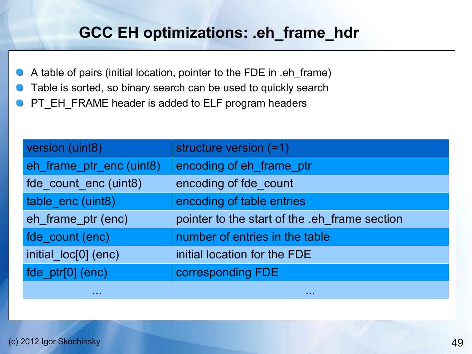# **GCC EH optimizations: .eh\_frame\_hdr**

- A table of pairs (initial location, pointer to the FDE in .eh\_frame)
- Table is sorted, so binary search can be used to quickly search
- PT\_EH\_FRAME header is added to ELF program headers

| version (uint8)          | structure version (=1)                        |
|--------------------------|-----------------------------------------------|
| eh_frame_ptr_enc (uint8) | encoding of eh frame ptr                      |
| fde_count_enc (uint8)    | encoding of fde count                         |
| table_enc (uint8)        | encoding of table entries                     |
| eh_frame_ptr (enc)       | pointer to the start of the .eh_frame section |
| fde_count (enc)          | number of entries in the table                |
| initial_loc[0] (enc)     | initial location for the FDE                  |
| fde_ptr[0] (enc)         | corresponding FDE                             |
| <b>ALC N</b>             | .                                             |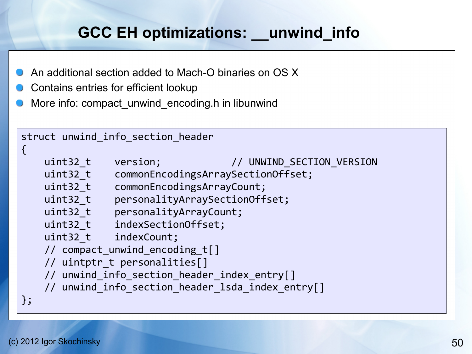# **GCC EH optimizations: \_\_unwind\_info**

- An additional section added to Mach-O binaries on OS X
- Contains entries for efficient lookup
- More info: compact unwind encoding.h in libunwind

```
struct unwind_info_section_header
\{uint32_t version; // UNWIND SECTION VERSION
    uint32_t commonEncodingsArraySectionOffset;
    uint32_t commonEncodingsArrayCount;
   uint32 t    personalityArraySectionOffset;
    uint32_t personalityArrayCount;
    uint32_t indexSectionOffset;
    uint32_t indexCount;
    // compact_unwind_encoding_t[]
    // uintptr_t personalities[]
    // unwind_info_section_header_index_entry[]
   // unwind info section header lsda index entry[]
};
```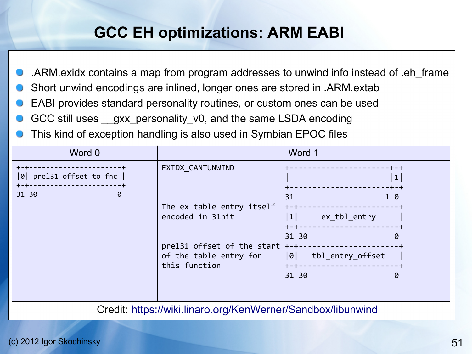# **GCC EH optimizations: ARM EABI**

- .ARM.exidx contains a map from program addresses to unwind info instead of .eh\_frame
- Short unwind encodings are inlined, longer ones are stored in .ARM.extab
- EABI provides standard personality routines, or custom ones can be used
- GCC still uses \_gxx\_personality\_v0, and the same LSDA encoding
- This kind of exception handling is also used in Symbian EPOC files

| Word 0                                                        |                                                                                                                                                  | Word 1                                                |                                           |
|---------------------------------------------------------------|--------------------------------------------------------------------------------------------------------------------------------------------------|-------------------------------------------------------|-------------------------------------------|
| prel31_offset_to_fnc  <br> 0 <br>$+ - +$<br>31 30<br>$\theta$ | EXIDX CANTUNWIND                                                                                                                                 | 31                                                    | $\cdot + - +$<br> 1 <br>-+-+<br>$1\theta$ |
|                                                               | The ex table entry itself<br>encoded in 31bit<br>prel31 offset of the start +-+-<br>of the table entry for  0  tbl_entry_offset<br>this function | $+-+-$<br> 1 <br>ex_tbl_entry<br>$+ - + - -$<br>31 30 | 0                                         |
|                                                               |                                                                                                                                                  | $+ - + - -$                                           |                                           |
|                                                               |                                                                                                                                                  | 31 30                                                 | 0                                         |

Credit: <https://wiki.linaro.org/KenWerner/Sandbox/libunwind>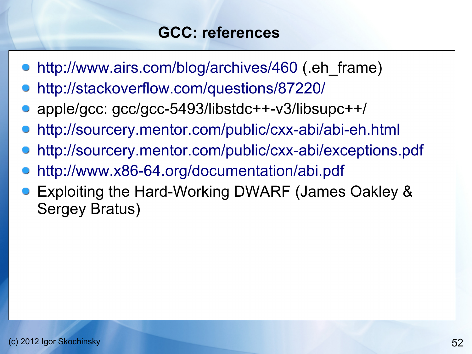# **GCC: references**

- <http://www.airs.com/blog/archives/460> (.eh\_frame)
- <http://stackoverflow.com/questions/87220/>
- apple/gcc: gcc/gcc-5493/libstdc++-v3/libsupc++/
- <http://sourcery.mentor.com/public/cxx-abi/abi-eh.html>
- <http://sourcery.mentor.com/public/cxx-abi/exceptions.pdf>
- <http://www.x86-64.org/documentation/abi.pdf>
- Exploiting the Hard-Working DWARF (James Oakley & Sergey Bratus)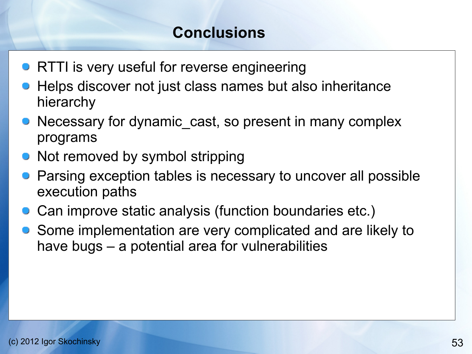# **Conclusions**

- **RTTI is very useful for reverse engineering**
- **Helps discover not just class names but also inheritance** hierarchy
- Necessary for dynamic cast, so present in many complex programs
- Not removed by symbol stripping
- Parsing exception tables is necessary to uncover all possible execution paths
- Can improve static analysis (function boundaries etc.)
- Some implementation are very complicated and are likely to have bugs – a potential area for vulnerabilities